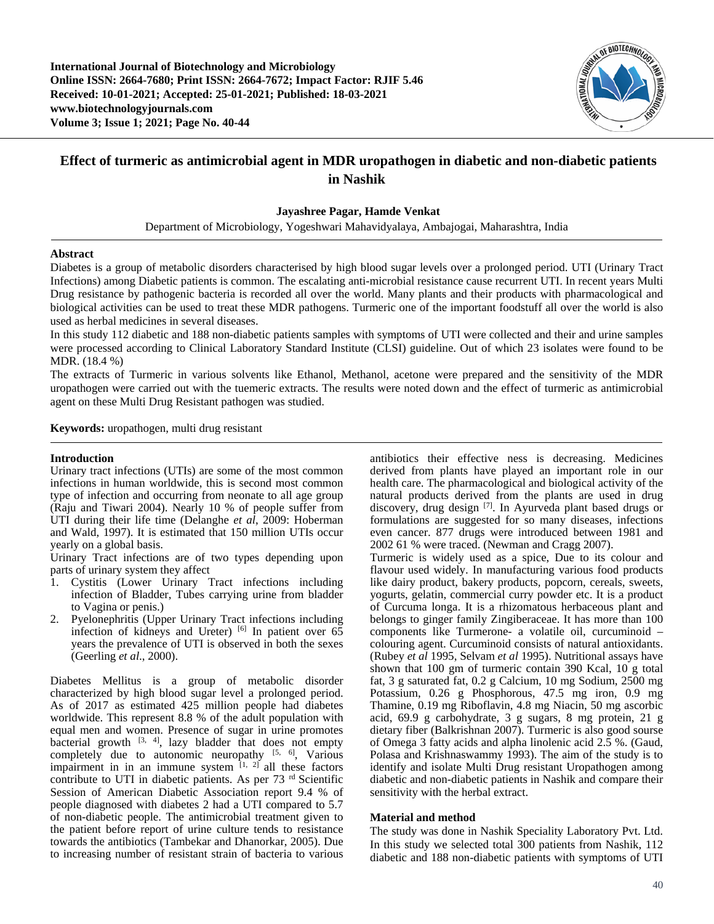**International Journal of Biotechnology and Microbiology Online ISSN: 2664-7680; Print ISSN: 2664-7672; Impact Factor: RJIF 5.46 Received: 10-01-2021; Accepted: 25-01-2021; Published: 18-03-2021 www.biotechnologyjournals.com Volume 3; Issue 1; 2021; Page No. 40-44**



# **Effect of turmeric as antimicrobial agent in MDR uropathogen in diabetic and non-diabetic patients in Nashik**

### **Jayashree Pagar, Hamde Venkat**

Department of Microbiology, Yogeshwari Mahavidyalaya, Ambajogai, Maharashtra, India

#### **Abstract**

Diabetes is a group of metabolic disorders characterised by high blood sugar levels over a prolonged period. UTI (Urinary Tract Infections) among Diabetic patients is common. The escalating anti-microbial resistance cause recurrent UTI. In recent years Multi Drug resistance by pathogenic bacteria is recorded all over the world. Many plants and their products with pharmacological and biological activities can be used to treat these MDR pathogens. Turmeric one of the important foodstuff all over the world is also used as herbal medicines in several diseases.

In this study 112 diabetic and 188 non-diabetic patients samples with symptoms of UTI were collected and their and urine samples were processed according to Clinical Laboratory Standard Institute (CLSI) guideline. Out of which 23 isolates were found to be MDR. (18.4 %)

The extracts of Turmeric in various solvents like Ethanol, Methanol, acetone were prepared and the sensitivity of the MDR uropathogen were carried out with the tuemeric extracts. The results were noted down and the effect of turmeric as antimicrobial agent on these Multi Drug Resistant pathogen was studied.

**Keywords:** uropathogen, multi drug resistant

#### **Introduction**

Urinary tract infections (UTIs) are some of the most common infections in human worldwide, this is second most common type of infection and occurring from neonate to all age group (Raju and Tiwari 2004). Nearly 10 % of people suffer from UTI during their life time (Delanghe *et al*, 2009: Hoberman and Wald, 1997). It is estimated that 150 million UTIs occur yearly on a global basis.

Urinary Tract infections are of two types depending upon parts of urinary system they affect

- 1. Cystitis (Lower Urinary Tract infections including infection of Bladder, Tubes carrying urine from bladder to Vagina or penis.)
- 2. Pyelonephritis (Upper Urinary Tract infections including infection of kidneys and Ureter)  $[6]$  In patient over 65 years the prevalence of UTI is observed in both the sexes (Geerling *et al*., 2000).

Diabetes Mellitus is a group of metabolic disorder characterized by high blood sugar level a prolonged period. As of 2017 as estimated 425 million people had diabetes worldwide. This represent 8.8 % of the adult population with equal men and women. Presence of sugar in urine promotes bacterial growth  $[3, 4]$ , lazy bladder that does not empty completely due to autonomic neuropathy  $[5, 6]$ , Various impairment in in an immune system  $[1, 2]$  all these factors contribute to UTI in diabetic patients. As per 73<sup>rd</sup> Scientific Session of American Diabetic Association report 9.4 % of people diagnosed with diabetes 2 had a UTI compared to 5.7 of non-diabetic people. The antimicrobial treatment given to the patient before report of urine culture tends to resistance towards the antibiotics (Tambekar and Dhanorkar, 2005). Due to increasing number of resistant strain of bacteria to various

antibiotics their effective ness is decreasing. Medicines derived from plants have played an important role in our health care. The pharmacological and biological activity of the natural products derived from the plants are used in drug discovery, drug design [7]. In Ayurveda plant based drugs or formulations are suggested for so many diseases, infections even cancer. 877 drugs were introduced between 1981 and 2002 61 % were traced. (Newman and Cragg 2007).

Turmeric is widely used as a spice, Due to its colour and flavour used widely. In manufacturing various food products like dairy product, bakery products, popcorn, cereals, sweets, yogurts, gelatin, commercial curry powder etc. It is a product of Curcuma longa. It is a rhizomatous herbaceous plant and belongs to ginger family Zingiberaceae. It has more than 100 components like Turmerone- a volatile oil, curcuminoid – colouring agent. Curcuminoid consists of natural antioxidants. (Rubey *et al* 1995, Selvam *et al* 1995). Nutritional assays have shown that 100 gm of turmeric contain 390 Kcal, 10 g total fat, 3 g saturated fat, 0.2 g Calcium, 10 mg Sodium, 2500 mg Potassium, 0.26 g Phosphorous, 47.5 mg iron, 0.9 mg Thamine, 0.19 mg Riboflavin, 4.8 mg Niacin, 50 mg ascorbic acid, 69.9 g carbohydrate, 3 g sugars, 8 mg protein, 21 g dietary fiber (Balkrishnan 2007). Turmeric is also good sourse of Omega 3 fatty acids and alpha linolenic acid 2.5 %. (Gaud, Polasa and Krishnaswammy 1993). The aim of the study is to identify and isolate Multi Drug resistant Uropathogen among diabetic and non-diabetic patients in Nashik and compare their sensitivity with the herbal extract.

### **Material and method**

The study was done in Nashik Speciality Laboratory Pvt. Ltd. In this study we selected total 300 patients from Nashik, 112 diabetic and 188 non-diabetic patients with symptoms of UTI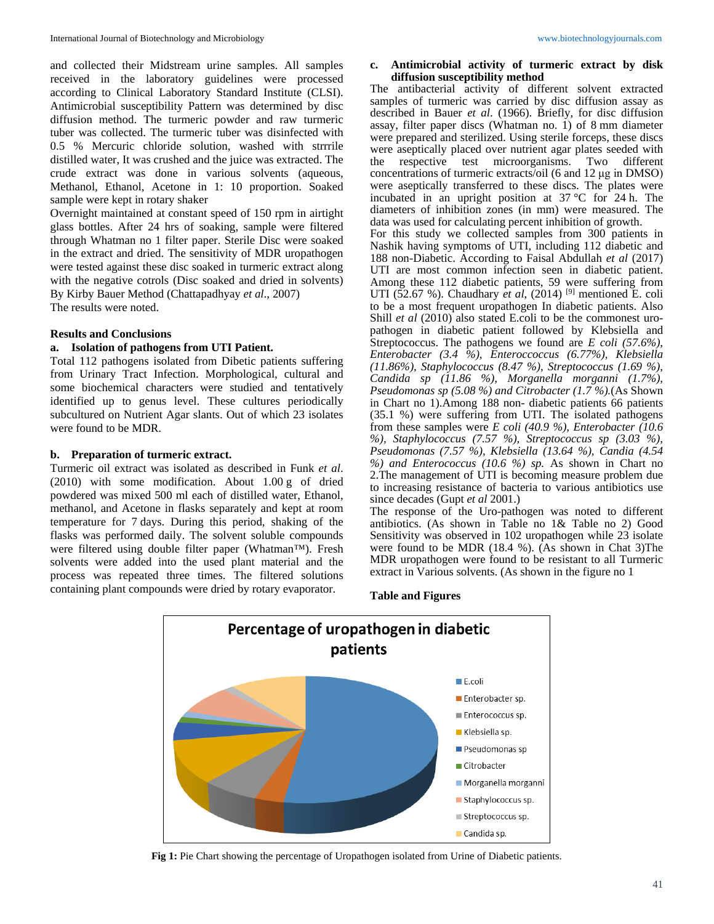and collected their Midstream urine samples. All samples received in the laboratory guidelines were processed according to Clinical Laboratory Standard Institute (CLSI). Antimicrobial susceptibility Pattern was determined by disc diffusion method. The turmeric powder and raw turmeric tuber was collected. The turmeric tuber was disinfected with 0.5 % Mercuric chloride solution, washed with strrrile distilled water, It was crushed and the juice was extracted. The crude extract was done in various solvents (aqueous, Methanol, Ethanol, Acetone in 1: 10 proportion. Soaked sample were kept in rotary shaker

Overnight maintained at constant speed of 150 rpm in airtight glass bottles. After 24 hrs of soaking, sample were filtered through Whatman no 1 filter paper. Sterile Disc were soaked in the extract and dried. The sensitivity of MDR uropathogen were tested against these disc soaked in turmeric extract along with the negative cotrols (Disc soaked and dried in solvents) By Kirby Bauer Method (Chattapadhyay *et al*., 2007) The results were noted.

### **Results and Conclusions**

### **a. Isolation of pathogens from UTI Patient.**

Total 112 pathogens isolated from Dibetic patients suffering from Urinary Tract Infection. Morphological, cultural and some biochemical characters were studied and tentatively identified up to genus level. These cultures periodically subcultured on Nutrient Agar slants. Out of which 23 isolates were found to be MDR.

### **b. Preparation of turmeric extract.**

Turmeric oil extract was isolated as described in Funk *et al*. (2010) with some modification. About 1.00 g of dried powdered was mixed 500 ml each of distilled water, Ethanol, methanol, and Acetone in flasks separately and kept at room temperature for 7 days. During this period, shaking of the flasks was performed daily. The solvent soluble compounds were filtered using double filter paper (Whatman™). Fresh solvents were added into the used plant material and the process was repeated three times. The filtered solutions containing plant compounds were dried by rotary evaporator.

## **c. Antimicrobial activity of turmeric extract by disk diffusion susceptibility method**

The antibacterial activity of different solvent extracted samples of turmeric was carried by disc diffusion assay as described in Bauer *et al*. (1966). Briefly, for disc diffusion assay, filter paper discs (Whatman no. 1) of 8 mm diameter were prepared and sterilized. Using sterile forceps, these discs were aseptically placed over nutrient agar plates seeded with the respective test microorganisms. Two different concentrations of turmeric extracts/oil (6 and 12 μg in DMSO) were aseptically transferred to these discs. The plates were incubated in an upright position at 37 °C for 24 h. The diameters of inhibition zones (in mm) were measured. The data was used for calculating percent inhibition of growth. For this study we collected samples from 300 patients in Nashik having symptoms of UTI, including 112 diabetic and 188 non-Diabetic. According to Faisal Abdullah *et al* (2017) UTI are most common infection seen in diabetic patient. Among these 112 diabetic patients, 59 were suffering from UTI (52.67 %). Chaudhary *et al*, (2014)<sup>[9]</sup> mentioned E. coli to be a most frequent uropathogen In diabetic patients. Also Shill *et al* (2010) also stated E.coli to be the commonest uropathogen in diabetic patient followed by Klebsiella and Streptococcus. The pathogens we found are *E coli (57.6%), Enterobacter (3.4 %), Enteroccoccus (6.77%), Klebsiella (11.86%), Staphylococcus (8.47 %), Streptococcus (1.69 %), Candida sp (11.86 %), Morganella morganni (1.7%), Pseudomonas sp (5.08 %) and Citrobacter (1.7 %).*(As Shown in Chart no 1).Among 188 non- diabetic patients 66 patients (35.1 %) were suffering from UTI. The isolated pathogens from these samples were *E coli (40.9 %), Enterobacter (10.6 %), Staphylococcus (7.57 %), Streptococcus sp (3.03 %), Pseudomonas (7.57 %), Klebsiella (13.64 %), Candia (4.54 %) and Enterococcus (10.6 %) sp.* As shown in Chart no 2.The management of UTI is becoming measure problem due to increasing resistance of bacteria to various antibiotics use since decades (Gupt *et al* 2001.)

The response of the Uro-pathogen was noted to different antibiotics. (As shown in Table no 1& Table no 2) Good Sensitivity was observed in 102 uropathogen while 23 isolate were found to be MDR (18.4 %). (As shown in Chat 3)The MDR uropathogen were found to be resistant to all Turmeric extract in Various solvents. (As shown in the figure no 1

**Table and Figures**



**Fig 1:** Pie Chart showing the percentage of Uropathogen isolated from Urine of Diabetic patients.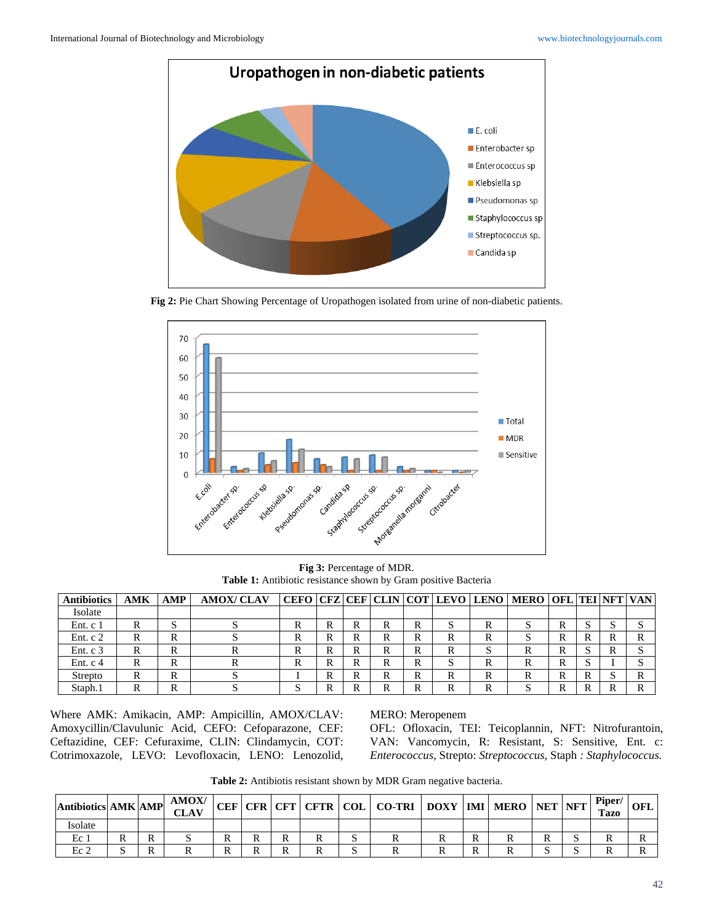

**Fig 2:** Pie Chart Showing Percentage of Uropathogen isolated from urine of non-diabetic patients.



**Fig 3:** Percentage of MDR. **Table 1:** Antibiotic resistance shown by Gram positive Bacteria

| <b>Antibiotics</b> | <b>AMK</b> | AMP | <b>AMOX/CLAV</b> |        |        |        |     |        |   |   | CEFO   CFZ   CEF   CLIN   COT   LEVO   LENO   MERO   OFL   TEI   NFT   VAN |   |              |    |   |
|--------------------|------------|-----|------------------|--------|--------|--------|-----|--------|---|---|----------------------------------------------------------------------------|---|--------------|----|---|
| Isolate            |            |     |                  |        |        |        |     |        |   |   |                                                                            |   |              |    |   |
| Ent. c 1           | ĸ          | ມ   |                  | ĸ      | R      |        |     |        |   |   |                                                                            |   |              |    |   |
| Ent. $c2$          | R.         | R   |                  | ĸ      | R      | R      |     |        |   |   |                                                                            |   | R            |    |   |
| Ent. $c3$          | R          | R   |                  | n      | D<br>ĸ | R      |     |        |   |   |                                                                            | v |              | ĸ  |   |
| Ent. $c4$          | R          | R   |                  | n<br>v | R      | D<br>ĸ |     | D<br>л |   | R |                                                                            | v | $\sim$<br>D. |    |   |
| Strepto            | R          | R   | $\cdot$          |        | R      | R      | IX. | ĸ      | N | R |                                                                            | ĸ | R            | ٠D | ĸ |
| Staph.1            | ĸ          | R   |                  |        | R      |        |     |        |   |   |                                                                            |   | R            |    |   |

Where AMK: Amikacin, AMP: Ampicillin, AMOX/CLAV: Amoxycillin/Clavulunic Acid, CEFO: Cefoparazone, CEF: Ceftazidine, CEF: Cefuraxime, CLIN: Clindamycin, COT: Cotrimoxazole, LEVO: Levofloxacin, LENO: Lenozolid, MERO: Meropenem

OFL: Ofloxacin, TEI: Teicoplannin, NFT: Nitrofurantoin, VAN: Vancomycin, R: Resistant, S: Sensitive, Ent. c: *Enterococcus*, Strepto: *Streptococcus*, Staph *: Staphylococcus.*

**Table 2:** Antibiotis resistant shown by MDR Gram negative bacteria.

| <b>Antibiotics AMK AMP</b> |  | AMOX/<br>CLAV |  |  | CEF   CFR   CFT   CFTR   COL   CO-TRI   DOXY   IMI   MERO   NET   NFT |   |  | Piper/<br>Tazo | OFL |
|----------------------------|--|---------------|--|--|-----------------------------------------------------------------------|---|--|----------------|-----|
| <b>Isolate</b>             |  |               |  |  |                                                                       |   |  |                |     |
| Ec                         |  |               |  |  |                                                                       |   |  |                |     |
| Ec <sub>2</sub>            |  |               |  |  |                                                                       | D |  |                |     |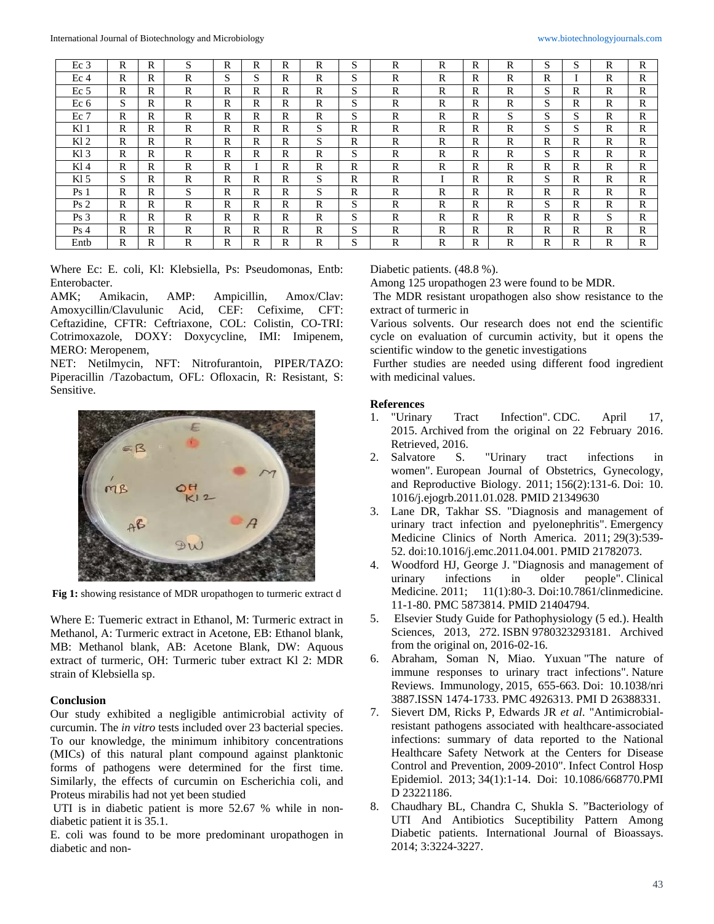| Ec <sub>3</sub> | R            | R | S           | R | R            | R            | R           | S       | R            | R            | R            | R | S            | S | R | R            |
|-----------------|--------------|---|-------------|---|--------------|--------------|-------------|---------|--------------|--------------|--------------|---|--------------|---|---|--------------|
| Ec <sub>4</sub> | R            | R | R           | S | $\sim$<br>S. | R            | $\mathbf R$ | S       | R            | R            | R            | R | R            |   | R | $\mathbb{R}$ |
| Ec <sub>5</sub> | R            | R | $\mathbf R$ | R | R            | R            | R           | S       | R            | R            | R            | R | S            | R | R | $\mathbb{R}$ |
| Ec <sub>6</sub> | S            | R | R           | R | R            | R            | R           | S       | R            | R            | R            | R | S            | R | R | R            |
| $Ec$ 7          | R            | R | R           | R | $\mathbb{R}$ | $\mathbb{R}$ | $\mathbf R$ | G<br>э. | R            | R            | R            | S | S            | S | R | $\mathbb{R}$ |
| Kl 1            | R            | R | R           | R | $\mathbf{R}$ | R            | S           | R       | R            | R            | R            | R | S            | S | R | R            |
| K12             | $\mathbb{R}$ | R | R           | R | $\mathbf{R}$ | R            | S           | R       | R            | $\mathbb{R}$ | $\mathbb{R}$ | R | $\mathbb{R}$ | R | R | $\mathbb{R}$ |
| K13             | R            | R | R           | R | $\mathbb{R}$ | R            | R           | S       | R            | R            | R            | R | S            | R | R | $\mathbb{R}$ |
| $Kl$ 4          | $\mathbb{R}$ | R | R           | R |              | R            | R           | R       | $\mathbb{R}$ | $\mathbb{R}$ | $\mathbb{R}$ | R | R            | R | R | $\mathbb{R}$ |
| $Kl$ 5          | S            | R | R           | R | $\mathbb{R}$ | R            | S           | R       | R            |              | R            | R | S            | R | R | $\mathbb{R}$ |
| Ps <sub>1</sub> | R            | R | S           | R | R            | R            | S           | R       | R            | R            | R            | R | R            | R | R | R            |
| Ps <sub>2</sub> | R            | R | R           | R | R            | R            | R           | S       | R            | R            | R            | R | S            | R | R | R            |
| Ps <sub>3</sub> | R            | R | R           | R | R            | R            | R           | S       | R            | R            | R            | R | R            | R | S | $\mathbb{R}$ |
| Ps <sub>4</sub> | R            | R | R           | R | R            | R            | R           | S       | R            | R            | R            | R | R            | R | R | R            |
| Entb            | R            | R | $\mathbf R$ | R | R            | R            | R           | S       | R            | R            | R            | R | R            | R | R | $\mathbb{R}$ |

Where Ec: E. coli, Kl: Klebsiella, Ps: Pseudomonas, Entb: Enterobacter.

AMK; Amikacin, AMP: Ampicillin, Amox/Clav:<br>Amoxycillin/Clavulunic Acid, CEF: Cefixime, CFT: Amoxycillin/Clavulunic Acid, CEF: Cefixime, CFT: Ceftazidine, CFTR: Ceftriaxone, COL: Colistin, CO-TRI: Cotrimoxazole, DOXY: Doxycycline, IMI: Imipenem, MERO: Meropenem,

NET: Netilmycin, NFT: Nitrofurantoin, PIPER/TAZO: Piperacillin /Tazobactum, OFL: Ofloxacin, R: Resistant, S: Sensitive.



**Fig 1:** showing resistance of MDR uropathogen to turmeric extract d

Where E: Tuemeric extract in Ethanol, M: Turmeric extract in Methanol, A: Turmeric extract in Acetone, EB: Ethanol blank, MB: Methanol blank, AB: Acetone Blank, DW: Aquous extract of turmeric, OH: Turmeric tuber extract Kl 2: MDR strain of Klebsiella sp.

### **Conclusion**

Our study exhibited a negligible antimicrobial activity of curcumin. The *in vitro* tests included over 23 bacterial species. To our knowledge, the minimum inhibitory concentrations (MICs) of this natural plant compound against planktonic forms of pathogens were determined for the first time. Similarly, the effects of curcumin on Escherichia coli, and Proteus mirabilis had not yet been studied

UTI is in diabetic patient is more 52.67 % while in nondiabetic patient it is 35.1.

E. coli was found to be more predominant uropathogen in diabetic and nonDiabetic patients. (48.8 %).

Among 125 uropathogen 23 were found to be MDR.

The MDR resistant uropathogen also show resistance to the extract of turmeric in

Various solvents. Our research does not end the scientific cycle on evaluation of curcumin activity, but it opens the scientific window to the genetic investigations

Further studies are needed using different food ingredient with medicinal values.

# **References**<br>1. "Urinary

- 1. "Urinary Tract Infection". CDC. April 17, 2015. Archived from the original on 22 February 2016. Retrieved, 2016.<br>Salvatore S.
- 2. Salvatore S. "Urinary tract infections in women". European Journal of Obstetrics, Gynecology, and Reproductive Biology. 2011; 156(2):131-6. Doi: 10. 1016/j.ejogrb.2011.01.028. PMID 21349630
- 3. Lane DR, Takhar SS. "Diagnosis and management of urinary tract infection and pyelonephritis". Emergency Medicine Clinics of North America. 2011; 29(3):539- 52. doi:10.1016/j.emc.2011.04.001. PMID 21782073.
- 4. Woodford HJ, George J. "Diagnosis and management of urinary infections in older people". Clinical Medicine. 2011; 11(1):80-3. Doi:10.7861/clinmedicine. 11-1-80. PMC 5873814. PMID 21404794.
- 5. Elsevier Study Guide for Pathophysiology (5 ed.). Health Sciences, 2013, 272. ISBN 9780323293181. Archived from the original on, 2016-02-16.
- 6. Abraham, Soman N, Miao. Yuxuan "The nature of immune responses to urinary tract infections". Nature Reviews. Immunology, 2015, 655-663. Doi: 10.1038/nri 3887.ISSN 1474-1733. PMC 4926313. PMI D 26388331.
- 7. Sievert DM, Ricks P, Edwards JR *et al*. "Antimicrobialresistant pathogens associated with healthcare-associated infections: summary of data reported to the National Healthcare Safety Network at the Centers for Disease Control and Prevention, 2009-2010". Infect Control Hosp Epidemiol. 2013; 34(1):1-14. Doi: 10.1086/668770.PMI D 23221186.
- 8. Chaudhary BL, Chandra C, Shukla S. "Bacteriology of UTI And Antibiotics Suceptibility Pattern Among Diabetic patients. International Journal of Bioassays. 2014; 3:3224-3227.